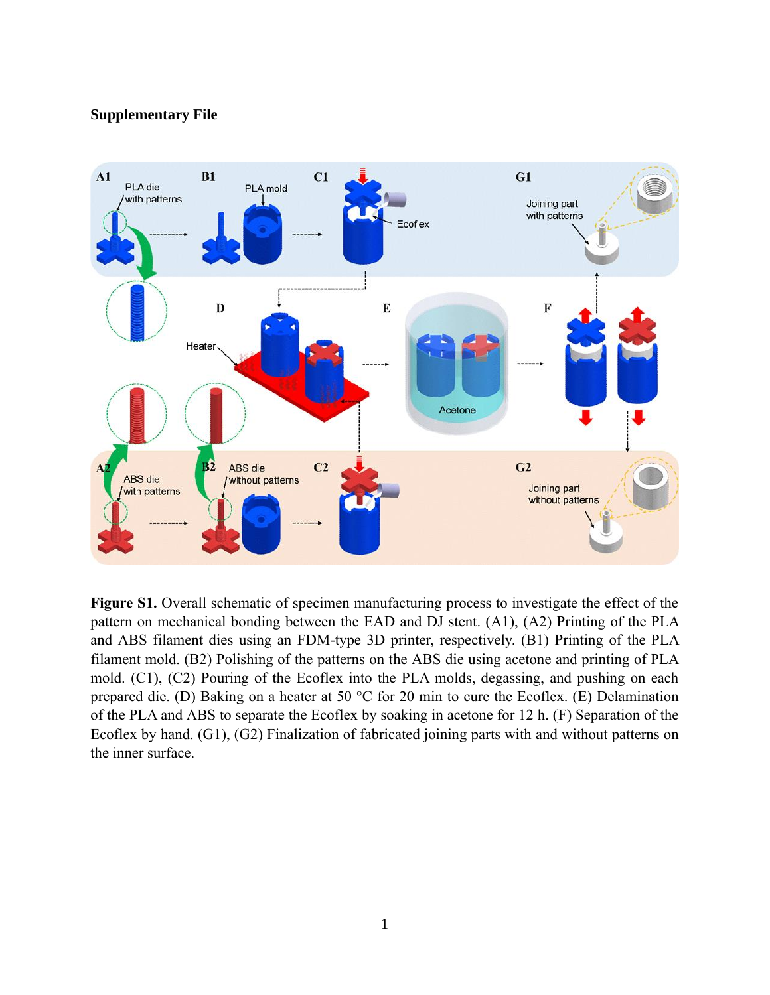## **Supplementary File**



**Figure S1.** Overall schematic of specimen manufacturing process to investigate the effect of the pattern on mechanical bonding between the EAD and DJ stent. (A1), (A2) Printing of the PLA and ABS filament dies using an FDM-type 3D printer, respectively. (B1) Printing of the PLA filament mold. (B2) Polishing of the patterns on the ABS die using acetone and printing of PLA mold. (C1), (C2) Pouring of the Ecoflex into the PLA molds, degassing, and pushing on each prepared die. (D) Baking on a heater at 50 °C for 20 min to cure the Ecoflex. (E) Delamination of the PLA and ABS to separate the Ecoflex by soaking in acetone for 12 h. (F) Separation of the Ecoflex by hand. (G1), (G2) Finalization of fabricated joining parts with and without patterns on the inner surface.